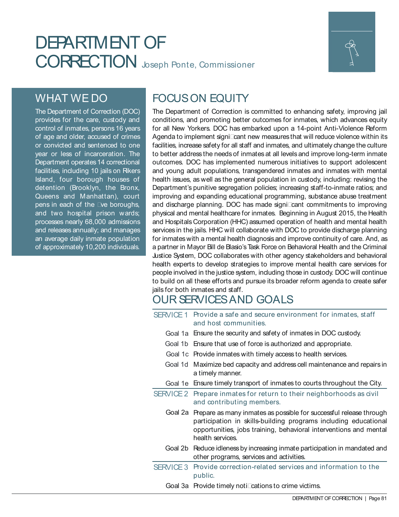# DEPARTMENT OF CORRECTION Joseph Ponte, Commissioner



# WHAT WE DO

The Department of Correction (DOC) provides for the care, custody and control of inmates, persons 16 years of age and older, accused of crimes or convicted and sentenced to one year or less of incarceration. The Department operates 14 correctional facilities, including 10 jails on Rikers Island, four borough houses of detention (Brooklyn, the Bronx, Queens and Manhattan), court pens in each of the 4ve boroughs, and two hospital prison wards; processes nearly 68,000 admissions and releases annually; and manages an average daily inmate population of approximately 10,200 individuals.

# FOCUS ON EQUITY

The Department of Correction is committed to enhancing safety, improving jail conditions, and promoting better outcomes for inmates, which advances equity for all New Yorkers. DOC has embarked upon a 14-point Anti-Violence Reform Agenda to implement signi4cant new measures that will reduce violence within its facilities, increase safety for all staff and inmates, and ultimately change the culture to better address the needs of inmates at all levels and improve long-term inmate outcomes. DOC has implemented numerous initiatives to support adolescent and young adult populations, transgendered inmates and inmates with mental health issues, as well as the general population in custody, including: revising the Department's punitive segregation policies; increasing staff-to-inmate ratios; and improving and expanding educational programming, substance abuse treatment and discharge planning. DOC has made signi4cant commitments to improving physical and mental healthcare for inmates. Beginning in August 2015, the Health and Hospitals Corporation (HHC) assumed operation of health and mental health services in the jails. HHC will collaborate with DOC to provide discharge planning for inmates with a mental health diagnosis and improve continuity of care. And, as a partner in Mayor Bill de Blasio's Task Force on Behavioral Health and the Criminal Justice System, DOC collaborates with other agency stakeholders and behavioral health experts to develop strategies to improve mental health care services for people involved in the justice system, including those in custody. DOC will continue to build on all these efforts and pursue its broader reform agenda to create safer jails for both inmates and staff.

# OUR SERVICES AND GOALS

SERVICE 1 Provide a safe and secure environment for inmates, staff and host communities.

- Goal 1a Ensure the security and safety of inmates in DOC custody.
- Goal 1b Ensure that use of force is authorized and appropriate.
- Goal 1c Provide inmates with timely access to health services.
- Goal 1d Maximize bed capacity and address cell maintenance and repairs in a timely manner.
- Goal 1e Ensure timely transport of inmates to courts throughout the City.
- SERVICE 2 Prepare inmates for return to their neighborhoods as civil and contributing members.
	- Goal 2a Prepare as many inmates as possible for successful release through participation in skills-building programs including educational opportunities, jobs training, behavioral interventions and mental health services.
	- Goal 2b Reduce idleness by increasing inmate participation in mandated and other programs, services and activities.

SERVICE 3 Provide correction-related services and information to the public.

Goal 3a Provide timely noti4cations to crime victims.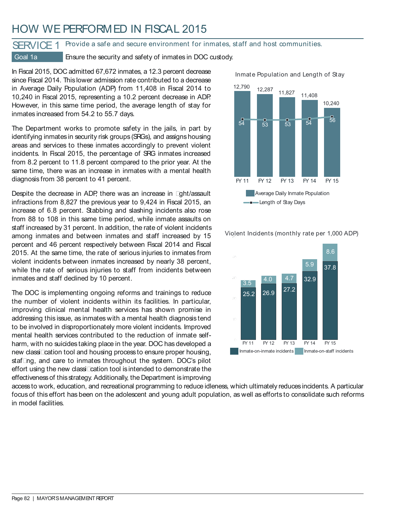# HOW WE PERFORMED IN FISCAL 2015

### SERVICE 1 Provide a safe and secure environment for inmates, staff and host communities.

Goal 1a Ensure the security and safety of inmates in DOC custody.

In Fiscal 2015, DOC admitted 67,672 inmates, a 12.3 percent decrease since Fiscal 2014. This lower admission rate contributed to a decrease in Average Daily Population (ADP) from 11,408 in Fiscal 2014 to 10,240 in Fiscal 2015, representing a 10.2 percent decrease in ADP. However, in this same time period, the average length of stay for inmates increased from 54.2 to 55.7 days.

The Department works to promote safety in the jails, in part by identifying inmates in security risk groups (SRGs), and assigns housing areas and services to these inmates accordingly to prevent violent incidents. In Fiscal 2015, the percentage of SRG inmates increased from 8.2 percent to 11.8 percent compared to the prior year. At the same time, there was an increase in inmates with a mental health diagnosis from 38 percent to 41 percent.

Despite the decrease in ADP, there was an increase in 4ght/assault infractions from 8,827 the previous year to 9,424 in Fiscal 2015, an increase of 6.8 percent. Stabbing and slashing incidents also rose from 88 to 108 in this same time period, while inmate assaults on staff increased by 31 percent. In addition, the rate of violent incidents among inmates and between inmates and staff increased by 15 percent and 46 percent respectively between Fiscal 2014 and Fiscal 2015. At the same time, the rate of serious injuries to inmates from violent incidents between inmates increased by nearly 38 percent, while the rate of serious injuries to staff from incidents between inmates and staff declined by 10 percent.

The DOC is implementing ongoing reforms and trainings to reduce the number of violent incidents within its facilities. In particular, improving clinical mental health services has shown promise in addressing this issue, as inmates with a mental health diagnosis tend to be involved in disproportionately more violent incidents. Improved mental health services contributed to the reduction of inmate selfharm, with no suicides taking place in the year. DOC has developed a new classi4cation tool and housing process to ensure proper housing, staf4ng, and care to inmates throughout the system. DOC's pilot effort using the new classi4cation tool is intended to demonstrate the effectiveness of this strategy. Additionally, the Department is improving

Average Daily Inmate Population FY 11 FY 12 FY 13 FY 14 FY 15 **Length of Stay Days**  $\overline{53}$   $\overline{53}$   $\overline{53}$   $\overline{54}$   $\overline{56}$  $\frac{1}{53}$ 



50 Violent Incidents (monthly rate per 1,000 ADP)

access to work, education, and recreational programming to reduce idleness, which ultimately reduces incidents. A particular focus of this effort has been on the adolescent and young adult population, as well as efforts to consolidate such reforms in model facilities.



Inmate Population and Length of Stay

11,827

11,408

10,240

12,790 12,287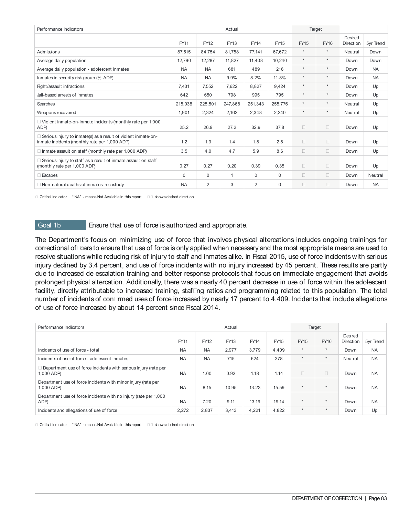| Performance Indicators                                                                                           |             |             | Actual      |                | Target      |                |                |                      |           |
|------------------------------------------------------------------------------------------------------------------|-------------|-------------|-------------|----------------|-------------|----------------|----------------|----------------------|-----------|
|                                                                                                                  | <b>FY11</b> | <b>FY12</b> | <b>FY13</b> | <b>FY14</b>    | <b>FY15</b> | <b>FY15</b>    | <b>FY16</b>    | Desired<br>Direction | 5yr Trend |
| Admissions                                                                                                       | 87,515      | 84,754      | 81,758      | 77,141         | 67.672      | $\star$        | $\star$        | Neutral              | Down      |
| Average daily population                                                                                         | 12.790      | 12,287      | 11.827      | 11.408         | 10.240      | $\star$        | $\star$        | Down                 | Down      |
| Average daily population - adolescent inmates                                                                    | <b>NA</b>   | <b>NA</b>   | 681         | 489            | 216         | $\star$        | $\star$        | Down                 | <b>NA</b> |
| Inmates in security risk group (% ADP)                                                                           | <b>NA</b>   | <b>NA</b>   | 9.9%        | 8.2%           | 11.8%       | $\star$        | $\star$        | Down                 | <b>NA</b> |
| Fight/assault infractions                                                                                        | 7.431       | 7,552       | 7.622       | 8.827          | 9.424       | $\star$        | $\star$        | Down                 | Up        |
| Jail-based arrests of inmates                                                                                    | 642         | 650         | 798         | 995            | 795         | $\star$        | $\star$        | Down                 | Up        |
| Searches                                                                                                         | 215,038     | 225,501     | 247.868     | 251,343        | 255.776     | $\star$        | $\star$        | Neutral              | Up        |
| Weapons recovered                                                                                                | 1,901       | 2,324       | 2,162       | 2,348          | 2,240       | $\star$        | $\star$        | Neutral              | Up        |
| 4 Violent inmate-on-inmate incidents (monthly rate per 1,000<br>ADP)                                             | 25.2        | 26.9        | 27.2        | 32.9           | 37.8        | $\overline{4}$ | $\overline{4}$ | Down                 | Up        |
| 4 Serious injury to inmate(s) as a result of violent inmate-on-<br>inmate incidents (monthly rate per 1,000 ADP) | 1.2         | 1.3         | 1.4         | 1.8            | 2.5         | 4              | 4              | Down                 | Up        |
| 4 Inmate assault on staff (monthly rate per 1,000 ADP)                                                           | 3.5         | 4.0         | 4.7         | 5.9            | 8.6         | $\overline{4}$ | 4              | Down                 | Up        |
| 4 Serious injury to staff as a result of inmate assault on staff<br>(monthly rate per 1,000 ADP)                 | 0.27        | 0.27        | 0.20        | 0.39           | 0.35        | 4              | 4              | Down                 | Up        |
| 4 Escapes                                                                                                        | $\Omega$    | 0           | 1           | $\Omega$       | 0           | 4              | 4              | Down                 | Neutral   |
| 4 Non-natural deaths of inmates in custody                                                                       | <b>NA</b>   | 2           | 3           | $\overline{2}$ | $\Omega$    | 4              | 4              | Down                 | <b>NA</b> |

4 Critical Indicator " NA" - means Not Available in this report 44 shows desired direction

Goal 1b Ensure that use of force is authorized and appropriate.

The Department's focus on minimizing use of force that involves physical altercations includes ongoing trainings for correctional of4cers to ensure that use of force is only applied when necessary and the most appropriate means are used to resolve situations while reducing risk of injury to staff and inmates alike. In Fiscal 2015, use of force incidents with serious injury declined by 3.4 percent, and use of force incidents with no injury increased by 45 percent. These results are partly due to increased de-escalation training and better response protocols that focus on immediate engagement that avoids prolonged physical altercation. Additionally, there was a nearly 40 percent decrease in use of force within the adolescent facility, directly attributable to increased training, staf4ng ratios and programming related to this population. The total number of incidents of con4rmed uses of force increased by nearly 17 percent to 4,409. Incidents that include allegations of use of force increased by about 14 percent since Fiscal 2014.

| Performance Indicators                                                          |             |           | Actual |             |       |             | Target         |                      |           |
|---------------------------------------------------------------------------------|-------------|-----------|--------|-------------|-------|-------------|----------------|----------------------|-----------|
|                                                                                 | <b>FY11</b> | FY12      | FY13   | <b>FY14</b> | FY15  | <b>FY15</b> | <b>FY16</b>    | Desired<br>Direction | 5yr Trend |
| Incidents of use of force - total                                               | <b>NA</b>   | <b>NA</b> | 2,977  | 3.779       | 4,409 | $\star$     | $\star$        | Down                 | <b>NA</b> |
| Incidents of use of force - adolescent inmates                                  | <b>NA</b>   | <b>NA</b> | 715    | 624         | 378   | $\star$     | $\star$        | Neutral              | <b>NA</b> |
| 4 Department use of force incidents with serious injury (rate per<br>1,000 ADP) | <b>NA</b>   | 1.00      | 0.92   | 1.18        | 1.14  | 4           | $\overline{4}$ | Down                 | <b>NA</b> |
| Department use of force incidents with minor injury (rate per<br>1.000 ADP)     | <b>NA</b>   | 8.15      | 10.95  | 13.23       | 15.59 | $\star$     | $\star$        | Down                 | <b>NA</b> |
| Department use of force incidents with no injury (rate per 1,000)<br>ADP)       | <b>NA</b>   | 7.20      | 9.11   | 13.19       | 19.14 | $\star$     | $\star$        | Down                 | <b>NA</b> |
| Incidents and allegations of use of force                                       | 2,272       | 2,837     | 3,413  | 4,221       | 4,822 | $\star$     | $\mathbf{r}$   | Down                 | Up        |

4 Critical Indicator " NA" - means Not Available in this report 44 shows desired direction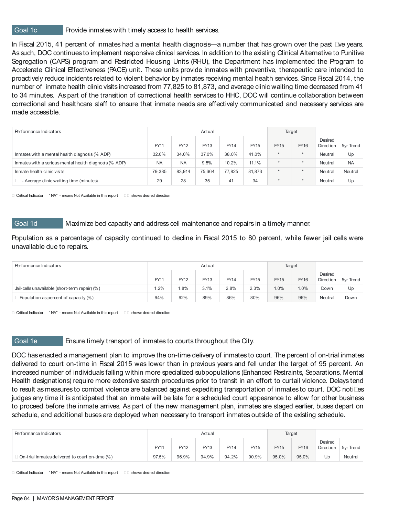### Goal 1c **Provide inmates with timely access to health services.**

In Fiscal 2015, 41 percent of inmates had a mental health diagnosis—a number that has grown over the past 4ve years. As such, DOC continues to implement responsive clinical services. In addition to the existing Clinical Alternative to Punitive Segregation (CAPS) program and Restricted Housing Units (RHU), the Department has implemented the Program to Accelerate Clinical Effectiveness (PACE) unit. These units provide inmates with preventive, therapeutic care intended to proactively reduce incidents related to violent behavior by inmates receiving mental health services. Since Fiscal 2014, the number of inmate health clinic visits increased from 77,825 to 81,873, and average clinic waiting time decreased from 41 to 34 minutes. As part of the transition of correctional health services to HHC, DOC will continue collaboration between correctional and healthcare staff to ensure that inmate needs are effectively communicated and necessary services are made accessible.

| Performance Indicators                                 |           |           | Actual |        |        |             | Target      |                      |           |
|--------------------------------------------------------|-----------|-----------|--------|--------|--------|-------------|-------------|----------------------|-----------|
|                                                        | FY11      | FY12      | FY13   | FY14   | FY15   | <b>FY15</b> | <b>FY16</b> | Desired<br>Direction | 5yr Trend |
| Inmates with a mental health diagnosis (% ADP)         | 32.0%     | 34.0%     | 37.0%  | 38.0%  | 41.0%  | $\star$     | $\star$     | Neutral              | Up        |
| Inmates with a serious mental health diagnosis (% ADP) | <b>NA</b> | <b>NA</b> | 9.5%   | 10.2%  | 11.1%  | $\star$     | $\star$     | Neutral              | <b>NA</b> |
| Inmate health clinic visits                            | 79,385    | 83,914    | 75.664 | 77.825 | 81.873 | $\star$     | $\star$     | Neutral              | Neutral   |
| Average clinic waiting time (minutes)<br>4             | 29        | 28        | 35     | 41     | 34     | ÷           | $\star$     | Neutral              | Up        |

4 Critical Indicator " NA" - means Not Available in this report 44 shows desired direction

Goal 1d Maximize bed capacity and address cell maintenance and repairs in a timely manner.

Population as a percentage of capacity continued to decline in Fiscal 2015 to 80 percent, while fewer jail cells were unavailable due to repairs.

| Performance Indicators                         |             |      | Actual |             |             | Target      |             |                             |           |
|------------------------------------------------|-------------|------|--------|-------------|-------------|-------------|-------------|-----------------------------|-----------|
|                                                | <b>FY11</b> | FY12 | FY13   | <b>FY14</b> | <b>FY15</b> | <b>FY15</b> | <b>FY16</b> | Desired<br><b>Direction</b> | 5vr Trend |
| Jail-cells unavailable (short-term repair) (%) | 1.2%        | .8%  | 3.1%   | 2.8%        | 2.3%        | 1.0%        | 1.0%        | Down                        | Up        |
| 4 Population as percent of capacity (%)        | 94%         | 92%  | 89%    | 86%         | 80%         | 96%         | 96%         | Neutral                     | Down      |

4 Critical Indicator " NA" - means Not Available in this report 44 shows desired direction

### Goal 1e Ensure timely transport of inmates to courts throughout the City.

DOC has enacted a management plan to improve the on-time delivery of inmates to court. The percent of on-trial inmates delivered to court on-time in Fiscal 2015 was lower than in previous years and fell under the target of 95 percent. An increased number of individuals falling within more specialized subpopulations (Enhanced Restraints, Separations, Mental Health designations) require more extensive search procedures prior to transit in an effort to curtail violence. Delays tend to result as measures to combat violence are balanced against expediting transportation of inmates to court. DOC noti4es judges any time it is anticipated that an inmate will be late for a scheduled court appearance to allow for other business to proceed before the inmate arrives. As part of the new management plan, inmates are staged earlier, buses depart on schedule, and additional buses are deployed when necessary to transport inmates outside of the existing schedule.

| Performance Indicators                            | Actual |       |             |       |             |             | Target      |                      |           |
|---------------------------------------------------|--------|-------|-------------|-------|-------------|-------------|-------------|----------------------|-----------|
|                                                   | FY11   | FY12  | <b>FY13</b> | FY14  | <b>FY15</b> | <b>FY15</b> | <b>FY16</b> | Desired<br>Direction | 5vr Trend |
| 4 On-trial inmates delivered to court on-time (%) | 97.5%  | 96.9% | 94.9%       | 94.2% | 90.9%       | 95.0%       | 95.0%       | Up                   | Neutral   |

4 Critical Indicator " NA" - means Not Available in this report 44 shows desired direction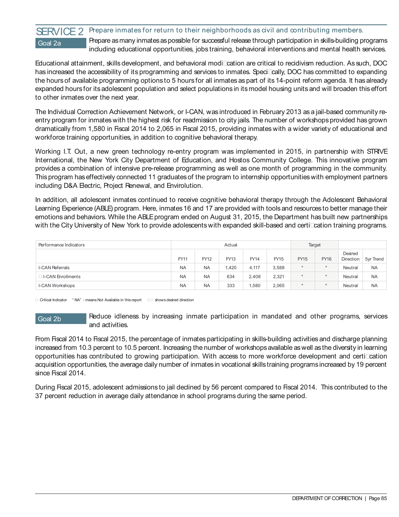### SERVICE 2 Prepare inmates for return to their neighborhoods as civil and contributing members. Goal 2a **Prepare as many inmates as possible for successful release through participation in skills-building programs** including educational opportunities, jobs training, behavioral interventions and mental health services.

Educational attainment, skills development, and behavioral modi4cation are critical to recidivism reduction. As such, DOC has increased the accessibility of its programming and services to inmates. Speci4cally, DOC has committed to expanding the hours of available programming options to 5 hours for all inmates as part of its 14-point reform agenda. It has already expanded hours for its adolescent population and select populations in its model housing units and will broaden this effort to other inmates over the next year.

The Individual Correction Achievement Network, or I-CAN, was introduced in February 2013 as a jail-based community reentry program for inmates with the highest risk for readmission to city jails. The number of workshops provided has grown dramatically from 1,580 in Fiscal 2014 to 2,065 in Fiscal 2015, providing inmates with a wider variety of educational and workforce training opportunities, in addition to cognitive behavioral therapy.

Working I.T. Out, a new green technology re-entry program was implemented in 2015, in partnership with STRIVE International, the New York City Department of Education, and Hostos Community College. This innovative program provides a combination of intensive pre-release programming as well as one month of programming in the community. This program has effectively connected 11 graduates of the program to internship opportunities with employment partners including D&A Electric, Project Renewal, and Envirolution.

In addition, all adolescent inmates continued to receive cognitive behavioral therapy through the Adolescent Behavioral Learning Experience (ABLE) program. Here, inmates 16 and 17 are provided with tools and resources to better manage their emotions and behaviors. While the ABLE program ended on August 31, 2015, the Department has built new partnerships with the City University of New York to provide adolescents with expanded skill-based and certi4cation training programs.

| Performance Indicators |             |             | Actual |             |       | Target      |             |                      |           |
|------------------------|-------------|-------------|--------|-------------|-------|-------------|-------------|----------------------|-----------|
|                        | <b>FY11</b> | <b>FY12</b> | FY13   | <b>FY14</b> | FY15  | <b>FY15</b> | <b>FY16</b> | Desired<br>Direction | 5yr Trend |
| <b>I-CAN Referrals</b> | <b>NA</b>   | <b>NA</b>   | 1.420  | 4,117       | 3,588 | $\star$     | $\star$     | Neutral              | <b>NA</b> |
| 4 I-CAN Enrollments    | <b>NA</b>   | <b>NA</b>   | 634    | 2,408       | 2,321 | $\star$     | $\star$     | Neutral              | <b>NA</b> |
| <b>I-CAN Workshops</b> | <b>NA</b>   | <b>NA</b>   | 333    | 1,580       | 2,065 | $\star$     | $\star$     | Neutral              | <b>NA</b> |

4 Critical Indicator " NA" - means Not Available in this report 44 shows desired direction

Goal 2b Reduce idleness by increasing inmate participation in mandated and other programs, services and activities.

From Fiscal 2014 to Fiscal 2015, the percentage of inmates participating in skills-building activities and discharge planning increased from 10.3 percent to 10.5 percent. Increasing the number of workshops available as well as the diversity in learning opportunities has contributed to growing participation. With access to more workforce development and certi4cation acquisition opportunities, the average daily number of inmates in vocational skills training programs increased by 19 percent since Fiscal 2014.

During Fiscal 2015, adolescent admissions to jail declined by 56 percent compared to Fiscal 2014. This contributed to the 37 percent reduction in average daily attendance in school programs during the same period.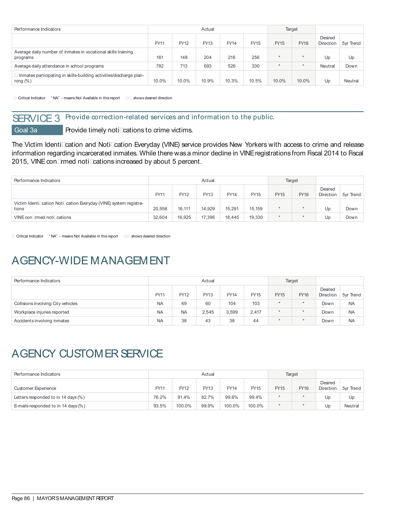| Performance Indicators                                                               |       |       | Actual |       |             |             | Target      |                      |           |
|--------------------------------------------------------------------------------------|-------|-------|--------|-------|-------------|-------------|-------------|----------------------|-----------|
|                                                                                      | FY11  | FY12  | FY13   | FY14  | <b>FY15</b> | <b>FY15</b> | <b>FY16</b> | Desired<br>Direction | 5yr Trend |
| Average daily number of inmates in vocational skills training<br>programs            | 161   | 148   | 204    | 216   | 256         | $\star$     | $\star$     | Up                   | Up        |
| Average daily attendance in school programs                                          | 782   | 713   | 693    | 526   | 330         | $\star$     | $\star$     | Neutral              | Down      |
| 4 Inmates participating in skills-building activities/discharge plan-<br>ning $(\%)$ | 10.0% | 10.0% | 10.9%  | 10.3% | 10.5%       | 10.0%       | 10.0%       | Up                   | Neutral   |

4 Critical Indicator " NA" - means Not Available in this report 44 shows desired direction

# SERVICE 3 Provide correction-related services and information to the public.

Goal 3a **Provide timely noti4cations to crime victims.** 

The Victim Identi4cation and Noti4cation Everyday (VINE) service provides New Yorkers with access to crime and release information regarding incarcerated inmates. While there was a minor decline in VINE registrations from Fiscal 2014 to Fiscal 2015, VINE con4rmed noti4cations increased by about 5 percent.

| Performance Indicators                                                     | Actual |             |        |             |        |             | Target      |                      |           |
|----------------------------------------------------------------------------|--------|-------------|--------|-------------|--------|-------------|-------------|----------------------|-----------|
|                                                                            | FY11   | <b>FY12</b> | FY13   | <b>FY14</b> | FY15   | <b>FY15</b> | <b>FY16</b> | Desired<br>Direction | 5yr Trend |
| Victim Identi4cation Noti4cation Everyday (VINE) system registra-<br>tions | 20.558 | 16.111      | 14.929 | 15,291      | 15.159 | ÷           |             | Up                   | Down      |
| VINE con4rmed noti4cations                                                 | 32.604 | 16,925      | 17.396 | 18.445      | 19.330 | ÷           |             | Up                   | Down      |

4 Critical Indicator " NA" - means Not Available in this report 44 shows desired direction

# AGENCY-WIDE MANAGEMENT

| Performance Indicators             |           |           | Actual |             |             | Target      |             |                      |           |
|------------------------------------|-----------|-----------|--------|-------------|-------------|-------------|-------------|----------------------|-----------|
|                                    | FY11      | FY12      | FY13   | <b>FY14</b> | <b>FY15</b> | <b>FY15</b> | <b>FY16</b> | Desired<br>Direction | 5yr Trend |
| Collisions involving City vehicles | <b>NA</b> | 69        | 60     | 104         | 103         | $\star$     | $\star$     | Down                 | <b>NA</b> |
| Workplace injuries reported        | <b>NA</b> | <b>NA</b> | 2,545  | 3,599       | 2,417       | ÷           | ÷           | Down                 | <b>NA</b> |
| Accidents involving inmates        | <b>NA</b> | 38        | 43     | 38          | 44          | $\star$     | $\star$     | Down                 | <b>NA</b> |

# AGENCY CUSTOMER SERVICE

| Performance Indicators              |       |        | Actual |             |             | Target      |             |                      |           |
|-------------------------------------|-------|--------|--------|-------------|-------------|-------------|-------------|----------------------|-----------|
| Customer Experience                 | FY11  | FY12   | FY13   | <b>FY14</b> | <b>FY15</b> | <b>FY15</b> | <b>FY16</b> | Desired<br>Direction | 5vr Trend |
| Letters responded to in 14 days (%) | 76.2% | 91.4%  | 82.7%  | 99.6%       | 99.4%       | $\star$     |             | Up                   | Up        |
| E-mails responded to in 14 days (%) | 93.5% | 100.0% | 99.9%  | 100.0%      | 100.0%      | $\star$     |             | Up                   | Neutral   |